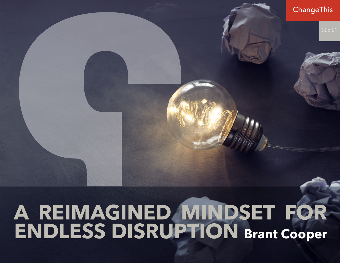# **A REIMAGINED MINDSET FOR ENDLESS DISRUPTION Brant Cooper**ChangeThis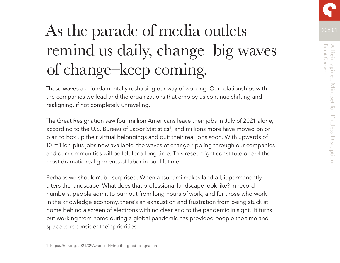# As the parade of media outlets 206.01 remind us daily, change–big waves of change–keep coming.

These waves are fundamentally reshaping our way of working. Our relationships with the companies we lead and the organizations that employ us continue shifting and realigning, if not completely unraveling.

The Great Resignation saw four million Americans leave their jobs in July of 2021 alone, according to the U.S. Bureau of Labor Statistics<sup>1</sup>, and millions more have moved on or plan to box up their virtual belongings and quit their real jobs soon. With upwards of 10 million-plus jobs now available, the waves of change rippling through our companies and our communities will be felt for a long time. This reset might constitute one of the most dramatic realignments of labor in our lifetime.

Perhaps we shouldn't be surprised. When a tsunami makes landfall, it permanently alters the landscape. What does that professional landscape look like? In record numbers, people admit to burnout from long hours of work, and for those who work in the knowledge economy, there's an exhaustion and frustration from being stuck at home behind a screen of electrons with no clear end to the pandemic in sight. It turns out working from home during a global pandemic has provided people the time and space to reconsider their priorities.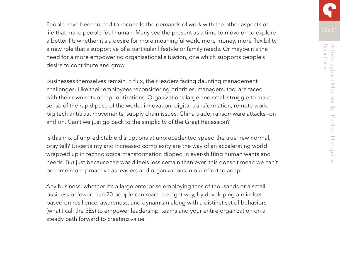People have been forced to reconcile the demands of work with the other aspects of life that make people feel human. Many see the present as a time to move on to explore a better fit: whether it's a desire for more meaningful work, more money, more flexibility, a new role that's supportive of a particular lifestyle or family needs. Or maybe it's the need for a more empowering organizational situation, one which supports people's desire to contribute and grow.

Businesses themselves remain in flux, their leaders facing daunting management challenges. Like their employees reconsidering priorities, managers, too, are faced with their own sets of reprioritizations. Organizations large and small struggle to make sense of the rapid pace of the world: innovation, digital transformation, remote work, big tech antitrust movements, supply chain issues, China trade, ransomware attacks—on and on. Can't we just go back to the simplicity of the Great Recession?

Is this mix of unpredictable disruptions at unprecedented speed the true new normal, pray tell? Uncertainty and increased complexity are the way of an accelerating world wrapped up in technological transformation dipped in ever-shifting human wants and needs. But just because the world feels less certain than ever, this doesn't mean we can't become more proactive as leaders and organizations in our effort to adapt.

Any business, whether it's a large enterprise employing tens of thousands or a small business of fewer than 20 people can react the right way, by developing a mindset based on resilience, awareness, and dynamism along with a distinct set of behaviors (what I call the 5Es) to empower leadership, teams and your entire organization on a steady path forward to creating value.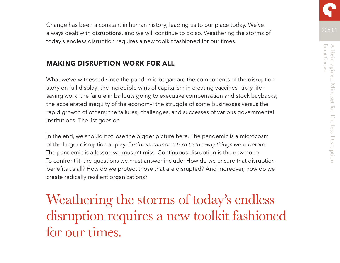206.01 Change has been a constant in human history, leading us to our place today. We've always dealt with disruptions, and we will continue to do so. Weathering the storms of today's endless disruption requires a new toolkit fashioned for our times.

# **MAKING DISRUPTION WORK FOR ALL**

What we've witnessed since the pandemic began are the components of the disruption story on full display: the incredible wins of capitalism in creating vaccines—truly lifesaving work; the failure in bailouts going to executive compensation and stock buybacks; the accelerated inequity of the economy; the struggle of some businesses versus the rapid growth of others; the failures, challenges, and successes of various governmental institutions. The list goes on.

In the end, we should not lose the bigger picture here. The pandemic is a microcosm of the larger disruption at play. *Business cannot return to the way things were before.* The pandemic is a lesson we mustn't miss. Continuous disruption is the new norm. To confront it, the questions we must answer include: How do we ensure that disruption benefits us all? How do we protect those that are disrupted? And moreover, how do we create radically resilient organizations?

# Weathering the storms of today's endless disruption requires a new toolkit fashioned for our times.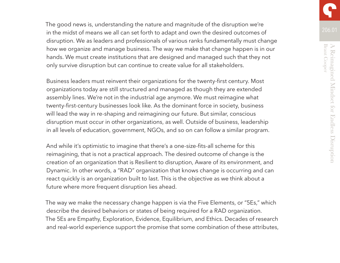The good news is, understanding the nature and magnitude of the disruption we're in the midst of means we all can set forth to adapt and own the desired outcomes of disruption. We as leaders and professionals of various ranks fundamentally must change how we organize and manage business. The way we make that change happen is in our hands. We must create institutions that are designed and managed such that they not only survive disruption but can continue to create value for all stakeholders.

Business leaders must reinvent their organizations for the twenty-first century. Most organizations today are still structured and managed as though they are extended assembly lines. We're not in the industrial age anymore. We must reimagine what twenty-first-century businesses look like. As the dominant force in society, business will lead the way in re-shaping and reimagining our future. But similar, conscious disruption must occur in other organizations, as well. Outside of business, leadership in all levels of education, government, NGOs, and so on can follow a similar program.

And while it's optimistic to imagine that there's a one-size-fits-all scheme for this reimagining, that is not a practical approach. The desired outcome of change is the creation of an organization that is Resilient to disruption, Aware of its environment, and Dynamic. In other words, a "RAD" organization that knows change is occurring and can react quickly is an organization built to last. This is the objective as we think about a future where more frequent disruption lies ahead.

The way we make the necessary change happen is via the Five Elements, or "5Es," which describe the desired behaviors or states of being required for a RAD organization. The 5Es are Empathy, Exploration, Evidence, Equilibrium, and Ethics. Decades of research and real-world experience support the promise that some combination of these attributes,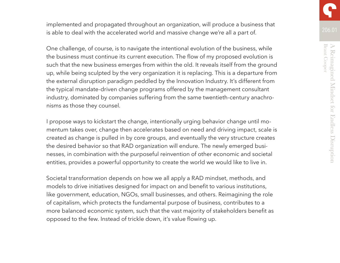implemented and propagated throughout an organization, will produce a business that is able to deal with the accelerated world and massive change we're all a part of.

One challenge, of course, is to navigate the intentional evolution of the business, while the business must continue its current execution. The flow of my proposed evolution is such that the new business emerges from within the old. It reveals itself from the ground up, while being sculpted by the very organization it is replacing. This is a departure from the external disruption paradigm peddled by the Innovation Industry. It's different from the typical mandate-driven change programs offered by the management consultant industry, dominated by companies suffering from the same twentieth-century anachronisms as those they counsel.

I propose ways to kickstart the change, intentionally urging behavior change until momentum takes over, change then accelerates based on need and driving impact, scale is created as change is pulled in by core groups, and eventually the very structure creates the desired behavior so that RAD organization will endure. The newly emerged businesses, in combination with the purposeful reinvention of other economic and societal entities, provides a powerful opportunity to create the world we would like to live in.

Societal transformation depends on how we all apply a RAD mindset, methods, and models to drive initiatives designed for impact on and benefit to various institutions, like government, education, NGOs, small businesses, and others. Reimagining the role of capitalism, which protects the fundamental purpose of business, contributes to a more balanced economic system, such that the vast majority of stakeholders benefit as opposed to the few. Instead of trickle down, it's value flowing up.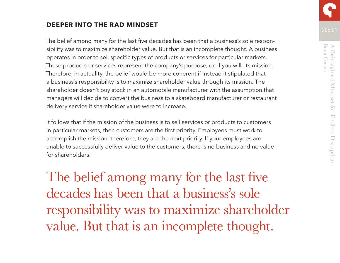# **DEEPER INTO THE RAD MINDSET**

The belief among many for the last five decades has been that a business's sole responsibility was to maximize shareholder value. But that is an incomplete thought. A business operates in order to sell specific types of products or services for particular markets. These products or services represent the company's purpose, or, if you will, its mission. Therefore, in actuality, the belief would be more coherent if instead it stipulated that a business's responsibility is to maximize shareholder value through its mission. The shareholder doesn't buy stock in an automobile manufacturer with the assumption that managers will decide to convert the business to a skateboard manufacturer or restaurant delivery service if shareholder value were to increase.

It follows that if the mission of the business is to sell services or products to customers in particular markets, then customers are the first priority. Employees must work to accomplish the mission; therefore, they are the next priority. If your employees are unable to successfully deliver value to the customers, there is no business and no value for shareholders.

The belief among many for the last five decades has been that a business's sole responsibility was to maximize shareholder value. But that is an incomplete thought.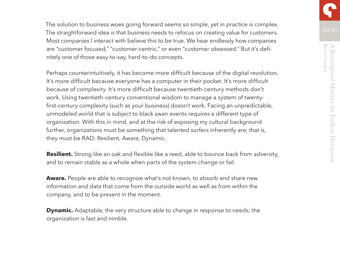The solution to business woes going forward seems so simple, yet in practice is complex. The straightforward idea is that business needs to refocus on creating value for customers. Most companies I interact with believe this to be true. We hear endlessly how companies are "customer focused," "customer-centric," or even "customer obsessed." But it's definitely one of those easy-to-say, hard-to-do concepts.

Perhaps counterintuitively, it has become more difficult because of the digital revolution. It's more difficult because everyone has a computer in their pocket. It's more difficult because of complexity. It's more difficult because twentieth-century methods don't work. Using twentieth-century conventional wisdom to manage a system of twentyfirst-century complexity (such as your business) doesn't work. Facing an unpredictable, unmodeled world that is subject to black swan events requires a different type of organization. With this in mind, and at the risk of exposing my cultural background further, organizations must be something that talented surfers inherently are; that is, they must be RAD: Resilient, Aware, Dynamic.

**Resilient.** Strong like an oak and flexible like a reed, able to bounce back from adversity, and to remain stable as a whole when parts of the system change or fail.

**Aware.** People are able to recognize what's not known, to absorb and share new information and data that come from the outside world as well as from within the company, and to be present in the moment.

**Dynamic.** Adaptable, the very structure able to change in response to needs; the organization is fast and nimble.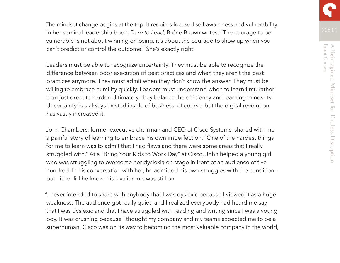The mindset change begins at the top. It requires focused self-awareness and vulnerability. In her seminal leadership book, *Dare to Lead*, Bréne Brown writes, "The courage to be vulnerable is not about winning or losing, it's about the courage to show up when you can't predict or control the outcome." She's exactly right.

Leaders must be able to recognize uncertainty. They must be able to recognize the difference between poor execution of best practices and when they aren't the best practices anymore. They must admit when they don't know the answer. They must be willing to embrace humility quickly. Leaders must understand when to learn first, rather than just execute harder. Ultimately, they balance the efficiency and learning mindsets. Uncertainty has always existed inside of business, of course, but the digital revolution has vastly increased it.

John Chambers, former executive chairman and CEO of Cisco Systems, shared with me a painful story of learning to embrace his own imperfection. "One of the hardest things for me to learn was to admit that I had flaws and there were some areas that I really struggled with." At a "Bring Your Kids to Work Day" at Cisco, John helped a young girl who was struggling to overcome her dyslexia on stage in front of an audience of five hundred. In his conversation with her, he admitted his own struggles with the conditionbut, little did he know, his lavalier mic was still on.

"I never intended to share with anybody that I was dyslexic because I viewed it as a huge weakness. The audience got really quiet, and I realized everybody had heard me say that I was dyslexic and that I have struggled with reading and writing since I was a young boy. It was crushing because I thought my company and my teams expected me to be a superhuman. Cisco was on its way to becoming the most valuable company in the world,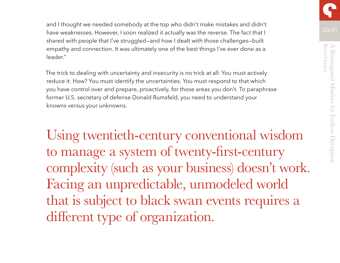and I thought we needed somebody at the top who didn't make mistakes and didn't have weaknesses. However, I soon realized it actually was the reverse. The fact that I shared with people that I've struggled—and how I dealt with those challenges—built empathy and connection. It was ultimately one of the best things I've ever done as a leader."

The trick to dealing with uncertainty and insecurity is no trick at all: You must actively reduce it. How? You must identify the uncertainties. You must respond to that which you have control over and prepare, proactively, for those areas you don't. To paraphrase former U.S. secretary of defense Donald Rumsfeld, you need to understand your knowns versus your unknowns.

Using twentieth-century conventional wisdom to manage a system of twenty-first-century complexity (such as your business) doesn't work. Facing an unpredictable, unmodeled world that is subject to black swan events requires a different type of organization.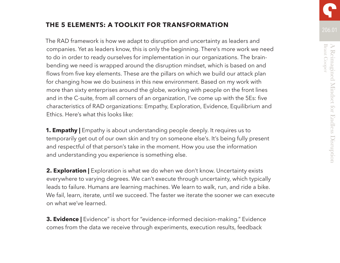# **THE 5 ELEMENTS: A TOOLKIT FOR TRANSFORMATION**

The RAD framework is how we adapt to disruption and uncertainty as leaders and companies. Yet as leaders know, this is only the beginning. There's more work we need to do in order to ready ourselves for implementation in our organizations. The brainbending we need is wrapped around the disruption mindset, which is based on and flows from five key elements. These are the pillars on which we build our attack plan for changing how we do business in this new environment. Based on my work with more than sixty enterprises around the globe, working with people on the front lines and in the C-suite, from all corners of an organization, I've come up with the 5Es: five characteristics of RAD organizations: Empathy, Exploration, Evidence, Equilibrium and Ethics. Here's what this looks like:

**1. Empathy** | Empathy is about understanding people deeply. It requires us to temporarily get out of our own skin and try on someone else's. It's being fully present and respectful of that person's take in the moment. How you use the information and understanding you experience is something else.

**2. Exploration |** Exploration is what we do when we don't know. Uncertainty exists everywhere to varying degrees. We can't execute through uncertainty, which typically leads to failure. Humans are learning machines. We learn to walk, run, and ride a bike. We fail, learn, iterate, until we succeed. The faster we iterate the sooner we can execute on what we've learned.

**3. Evidence |** Evidence" is short for "evidence-informed decision-making." Evidence comes from the data we receive through experiments, execution results, feedback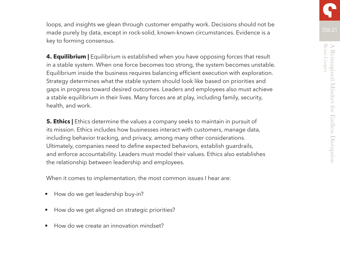loops, and insights we glean through customer empathy work. Decisions should not be made purely by data, except in rock-solid, known-known circumstances. Evidence is a key to forming consensus.

**4. Equilibrium |** Equilibrium is established when you have opposing forces that result in a stable system. When one force becomes too strong, the system becomes unstable. Equilibrium inside the business requires balancing efficient execution with exploration. Strategy determines what the stable system should look like based on priorities and gaps in progress toward desired outcomes. Leaders and employees also must achieve a stable equilibrium in their lives. Many forces are at play, including family, security, health, and work.

**5. Ethics |** Ethics determine the values a company seeks to maintain in pursuit of its mission. Ethics includes how businesses interact with customers, manage data, including behavior tracking, and privacy, among many other considerations. Ultimately, companies need to define expected behaviors, establish guardrails, and enforce accountability. Leaders must model their values. Ethics also establishes the relationship between leadership and employees.

When it comes to implementation, the most common issues I hear are:

- How do we get leadership buy-in?
- How do we get aligned on strategic priorities?
- How do we create an innovation mindset?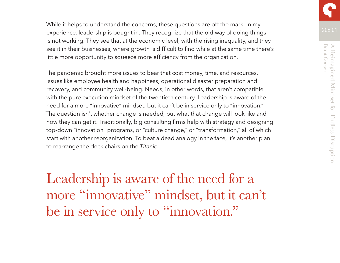While it helps to understand the concerns, these questions are off the mark. In my experience, leadership is bought in. They recognize that the old way of doing things is not working. They see that at the economic level, with the rising inequality, and they see it in their businesses, where growth is difficult to find while at the same time there's little more opportunity to squeeze more efficiency from the organization.

The pandemic brought more issues to bear that cost money, time, and resources. Issues like employee health and happiness, operational disaster preparation and recovery, and community well-being. Needs, in other words, that aren't compatible with the pure execution mindset of the twentieth century. Leadership is aware of the need for a more "innovative" mindset, but it can't be in service only to "innovation." The question isn't whether change is needed, but what that change will look like and how they can get it. Traditionally, big consulting firms help with strategy and designing top-down "innovation" programs, or "culture change," or "transformation," all of which start with another reorganization. To beat a dead analogy in the face, it's another plan to rearrange the deck chairs on the *Titanic*.

Leadership is aware of the need for a more "innovative" mindset, but it can't be in service only to "innovation."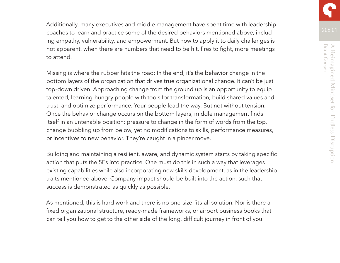Additionally, many executives and middle management have spent time with leadership coaches to learn and practice some of the desired behaviors mentioned above, including empathy, vulnerability, and empowerment. But how to apply it to daily challenges is not apparent, when there are numbers that need to be hit, fires to fight, more meetings to attend.

Missing is where the rubber hits the road: In the end, it's the behavior change in the bottom layers of the organization that drives true organizational change. It can't be just top-down driven. Approaching change from the ground up is an opportunity to equip talented, learning-hungry people with tools for transformation, build shared values and trust, and optimize performance. Your people lead the way. But not without tension. Once the behavior change occurs on the bottom layers, middle management finds itself in an untenable position: pressure to change in the form of words from the top, change bubbling up from below, yet no modifications to skills, performance measures, or incentives to new behavior. They're caught in a pincer move.

Building and maintaining a resilient, aware, and dynamic system starts by taking specific action that puts the 5Es into practice. One must do this in such a way that leverages existing capabilities while also incorporating new skills development, as in the leadership traits mentioned above. Company impact should be built into the action, such that success is demonstrated as quickly as possible.

As mentioned, this is hard work and there is no one-size-fits-all solution. Nor is there a fixed organizational structure, ready-made frameworks, or airport business books that can tell you how to get to the other side of the long, difficult journey in front of you.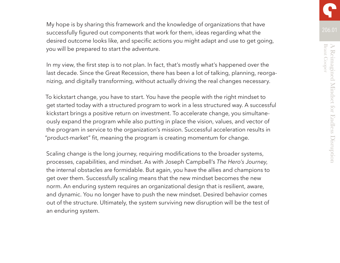My hope is by sharing this framework and the knowledge of organizations that have successfully figured out components that work for them, ideas regarding what the desired outcome looks like, and specific actions you might adapt and use to get going, you will be prepared to start the adventure.

In my view, the first step is to not plan. In fact, that's mostly what's happened over the last decade. Since the Great Recession, there has been a lot of talking, planning, reorganizing, and digitally transforming, without actually driving the real changes necessary.

To kickstart change, you have to start. You have the people with the right mindset to get started today with a structured program to work in a less structured way. A successful kickstart brings a positive return on investment. To accelerate change, you simultaneously expand the program while also putting in place the vision, values, and vector of the program in service to the organization's mission. Successful acceleration results in "product-market" fit, meaning the program is creating momentum for change.

Scaling change is the long journey, requiring modifications to the broader systems, processes, capabilities, and mindset. As with Joseph Campbell's *The Hero's Journey*, the internal obstacles are formidable. But again, you have the allies and champions to get over them. Successfully scaling means that the new mindset becomes the new norm. An enduring system requires an organizational design that is resilient, aware, and dynamic. You no longer have to push the new mindset. Desired behavior comes out of the structure. Ultimately, the system surviving new disruption will be the test of an enduring system.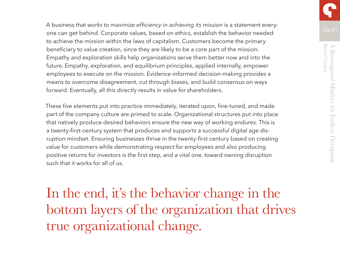A business that *works to maximize efficiency in achieving its mission* is a statement everyone can get behind. Corporate values, based on ethics, establish the behavior needed to achieve the mission within the laws of capitalism. Customers become the primary beneficiary to value creation, since they are likely to be a core part of the mission. Empathy and exploration skills help organizations serve them better now and into the future. Empathy, exploration, and equilibrium principles, applied internally, empower employees to execute on the mission. Evidence-informed decision-making provides a means to overcome disagreement, cut through biases, and build consensus on ways forward. Eventually, all this directly results in value for shareholders.

These five elements put into practice immediately, iterated upon, fine-tuned, and made part of the company culture are primed to scale. Organizational structures put into place that natively produce desired behaviors ensure the new way of working endures. This is a twenty-first-century system that produces and supports a successful digital age disruption mindset. Ensuring businesses thrive in the twenty-first century based on creating value for customers while demonstrating respect for employees and also producing positive returns for investors is the first step, and a vital one, toward owning disruption such that it works for all of us.

In the end, it's the behavior change in the bottom layers of the organization that drives true organizational change.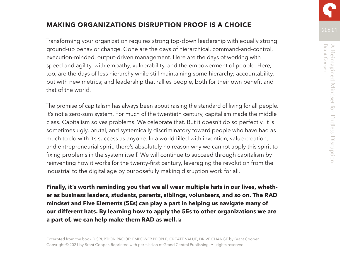## **MAKING ORGANIZATIONS DISRUPTION PROOF IS A CHOICE**

Transforming your organization requires strong top-down leadership with equally strong ground-up behavior change. Gone are the days of hierarchical, command-and-control, execution-minded, output-driven management. Here are the days of working with speed and agility, with empathy, vulnerability, and the empowerment of people. Here, too, are the days of less hierarchy while still maintaining some hierarchy; accountability, but with new metrics; and leadership that rallies people, both for their own benefit and that of the world.

The promise of capitalism has always been about raising the standard of living for all people. It's not a zero-sum system. For much of the twentieth century, capitalism made the middle class. Capitalism solves problems. We celebrate that. But it doesn't do so perfectly. It is sometimes ugly, brutal, and systemically discriminatory toward people who have had as much to do with its success as anyone. In a world filled with invention, value creation, and entrepreneurial spirit, there's absolutely no reason why we cannot apply this spirit to fixing problems in the system itself. We will continue to succeed through capitalism by reinventing how it works for the twenty-first century, leveraging the revolution from the industrial to the digital age by purposefully making disruption work for all.

**Finally, it's worth reminding you that we all wear multiple hats in our lives, whether as business leaders, students, parents, siblings, volunteers, and so on. The RAD mindset and Five Elements (5Es) can play a part in helping us navigate many of our different hats. By learning how to apply the 5Es to other organizations we are a part of, we can help make them RAD as well.**